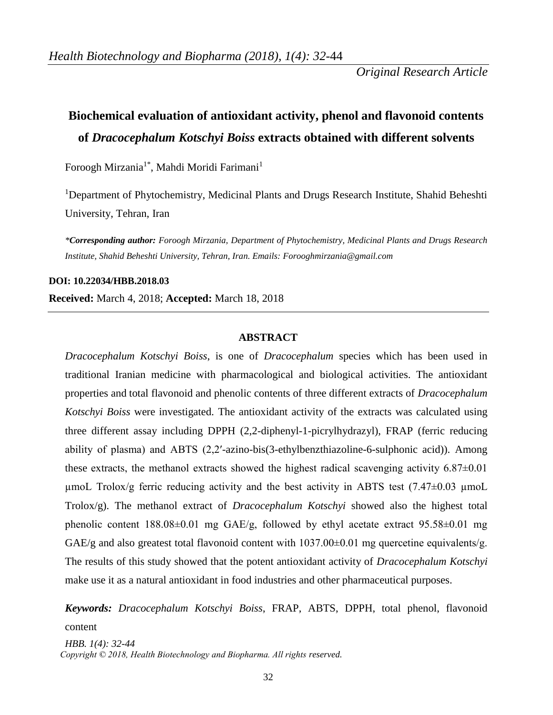*Original Research Article*

# **Biochemical evaluation of antioxidant activity, phenol and flavonoid contents of** *Dracocephalum Kotschyi Boiss* **extracts obtained with different solvents**

Foroogh Mirzania<sup>1\*</sup>, Mahdi Moridi Farimani<sup>1</sup>

<sup>1</sup>Department of Phytochemistry, Medicinal Plants and Drugs Research Institute, Shahid Beheshti University, Tehran, Iran

*\*Corresponding author: Foroogh Mirzania, Department of Phytochemistry, Medicinal Plants and Drugs Research Institute, Shahid Beheshti University, Tehran, Iran. Emails: [Forooghmirzania@gmail.com](mailto:Forooghmirzania@gmail.com)*

**DOI: 10.22034/HBB.2018.03**

**Received:** March 4, 2018; **Accepted:** March 18, 2018

## **ABSTRACT**

*Dracocephalum Kotschyi Boiss*, is one of *Dracocephalum* species which has been used in traditional Iranian medicine with pharmacological and biological activities. The antioxidant properties and total flavonoid and phenolic contents of three different extracts of *Dracocephalum Kotschyi Boiss* were investigated. The antioxidant activity of the extracts was calculated using three different assay including DPPH (2,2-diphenyl-1-picrylhydrazyl), FRAP (ferric reducing ability of plasma) and ABTS (2,2ʹ-azino-bis(3-ethylbenzthiazoline-6-sulphonic acid)). Among these extracts, the methanol extracts showed the highest radical scavenging activity  $6.87\pm0.01$  $\mu$ moL Trolox/g ferric reducing activity and the best activity in ABTS test (7.47 $\pm$ 0.03  $\mu$ moL Trolox/g). The methanol extract of *Dracocephalum Kotschyi* showed also the highest total phenolic content  $188.08\pm0.01$  mg GAE/g, followed by ethyl acetate extract  $95.58\pm0.01$  mg GAE/g and also greatest total flavonoid content with  $1037.00\pm0.01$  mg quercetine equivalents/g. The results of this study showed that the potent antioxidant activity of *Dracocephalum Kotschyi*  make use it as a natural antioxidant in food industries and other pharmaceutical purposes.

*HBB. 1(4): 32-44 Keywords: Dracocephalum Kotschyi Boiss*, FRAP, ABTS, DPPH, total phenol, flavonoid content

 *Copyright © 2018, Health Biotechnology and Biopharma. All rights reserved.*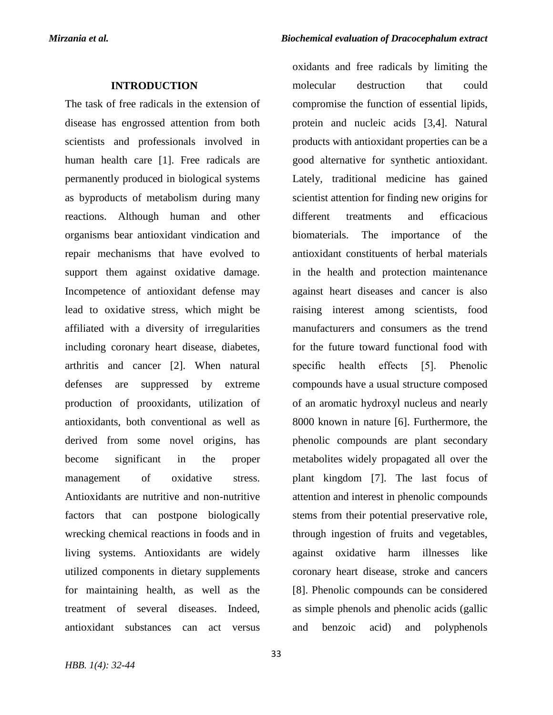## **INTRODUCTION**

The task of free radicals in the extension of disease has engrossed attention from both scientists and professionals involved in human health care [1]. Free radicals are permanently produced in biological systems as byproducts of metabolism during many reactions. Although human and other organisms bear antioxidant vindication and repair mechanisms that have evolved to support them against oxidative damage. Incompetence of antioxidant defense may lead to oxidative stress, which might be affiliated with a diversity of irregularities including coronary heart disease, diabetes, arthritis and cancer [2]. When natural defenses are suppressed by extreme production of prooxidants, utilization of antioxidants, both conventional as well as derived from some novel origins, has become significant in the proper management of oxidative stress. Antioxidants are nutritive and non-nutritive factors that can postpone biologically wrecking chemical reactions in foods and in living systems. Antioxidants are widely utilized components in dietary supplements for maintaining health, as well as the treatment of several diseases. Indeed, antioxidant substances can act versus

oxidants and free radicals by limiting the molecular destruction that could compromise the function of essential lipids, protein and nucleic acids [3,4]. Natural products with antioxidant properties can be a good alternative for synthetic antioxidant. Lately, traditional medicine has gained scientist attention for finding new origins for different treatments and efficacious biomaterials. The importance of the antioxidant constituents of herbal materials in the health and protection maintenance against heart diseases and cancer is also raising interest among scientists, food manufacturers and consumers as the trend for the future toward functional food with specific health effects [5]. Phenolic compounds have a usual structure composed of an aromatic hydroxyl nucleus and nearly 8000 known in nature [6]. Furthermore, the phenolic compounds are plant secondary metabolites widely propagated all over the plant kingdom [7]. The last focus of attention and interest in phenolic compounds stems from their potential preservative role, through ingestion of fruits and vegetables, against oxidative harm illnesses like coronary heart disease, stroke and cancers [8]. Phenolic compounds can be considered as simple phenols and phenolic acids (gallic and benzoic acid) and polyphenols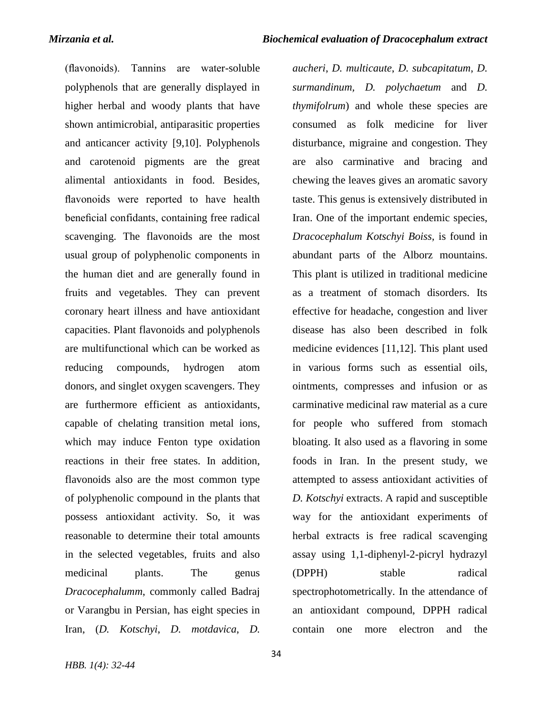(flavonoids). Tannins are water-soluble polyphenols that are generally displayed in higher herbal and woody plants that have shown antimicrobial, antiparasitic properties and anticancer activity [9,10]. Polyphenols and carotenoid pigments are the great alimental antioxidants in food. Besides, flavonoids were reported to have health beneficial confidants, containing free radical scavenging. The flavonoids are the most usual group of polyphenolic components in the human diet and are generally found in fruits and vegetables. They can prevent coronary heart illness and have antioxidant capacities. Plant flavonoids and polyphenols are multifunctional which can be worked as reducing compounds, hydrogen atom donors, and singlet oxygen scavengers. They are furthermore efficient as antioxidants, capable of chelating transition metal ions, which may induce Fenton type oxidation reactions in their free states. In addition, flavonoids also are the most common type of polyphenolic compound in the plants that possess antioxidant activity. So, it was reasonable to determine their total amounts in the selected vegetables, fruits and also medicinal plants. The genus *Dracocephalumm*, commonly called Badraj or Varangbu in Persian, has eight species in Iran, (*D. Kotschyi*, *D. motdavica*, *D.* 

*aucheri*, *D. multicaute*, *D. subcapitatum*, *D. surmandinum, D. polychaetum* and *D. thymifolrum*) and whole these species are consumed as folk medicine for liver disturbance, migraine and congestion. They are also carminative and bracing and chewing the leaves gives an aromatic savory taste. This genus is extensively distributed in Iran. One of the important endemic species, *Dracocephalum Kotschyi Boiss,* is found in abundant parts of the Alborz mountains. This plant is utilized in traditional medicine as a treatment of stomach disorders. Its effective for headache, congestion and liver disease has also been described in folk medicine evidences [11,12]. This plant used in various forms such as essential oils, ointments, compresses and infusion or as carminative medicinal raw material as a cure for people who suffered from stomach bloating. It also used as a flavoring in some foods in Iran. In the present study, we attempted to assess antioxidant activities of *D. Kotschyi* extracts. A rapid and susceptible way for the antioxidant experiments of herbal extracts is free radical scavenging assay using 1,1-diphenyl-2-picryl hydrazyl (DPPH) stable radical spectrophotometrically. In the attendance of an antioxidant compound, DPPH radical contain one more electron and the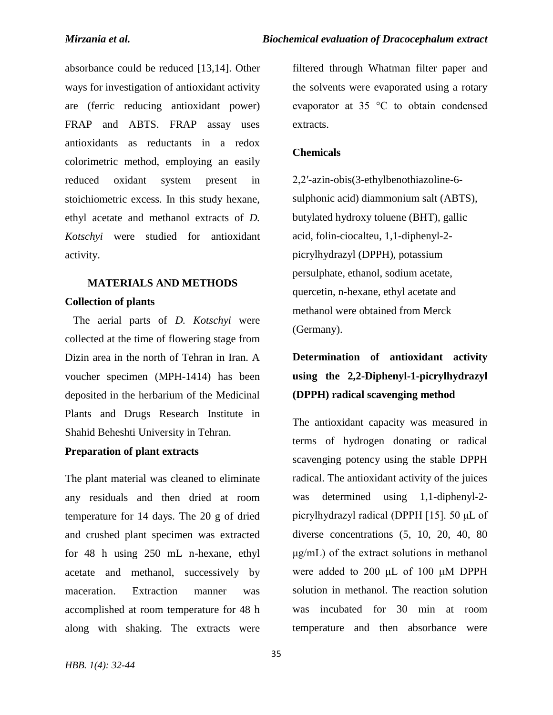absorbance could be reduced [13,14]. Other ways for investigation of antioxidant activity are (ferric reducing antioxidant power) FRAP and ABTS. FRAP assay uses antioxidants as reductants in a redox colorimetric method, employing an easily reduced oxidant system present in stoichiometric excess. In this study hexane, ethyl acetate and methanol extracts of *D. Kotschyi* were studied for antioxidant activity.

## **MATERIALS AND METHODS Collection of plants**

 The aerial parts of *D. Kotschyi* were collected at the time of flowering stage from Dizin area in the north of Tehran in Iran. A voucher specimen (MPH-1414) has been deposited in the herbarium of the Medicinal Plants and Drugs Research Institute in Shahid Beheshti University in Tehran.

## **Preparation of plant extracts**

The plant material was cleaned to eliminate any residuals and then dried at room temperature for 14 days. The 20 g of dried and crushed plant specimen was extracted for 48 h using 250 mL n-hexane, ethyl acetate and methanol, successively by maceration. Extraction manner was accomplished at room temperature for 48 h along with shaking. The extracts were

filtered through Whatman filter paper and the solvents were evaporated using a rotary evaporator at 35 °C to obtain condensed extracts.

#### **Chemicals**

2,2′-azin-obis(3-ethylbenothiazoline-6 sulphonic acid) diammonium salt (ABTS), butylated hydroxy toluene (BHT), gallic acid, folin-ciocalteu, 1,1-diphenyl-2 picrylhydrazyl (DPPH), potassium persulphate, ethanol, sodium acetate, quercetin, n-hexane, ethyl acetate and methanol were obtained from Merck (Germany).

## **Determination of antioxidant activity using the 2,2-Diphenyl-1-picrylhydrazyl (DPPH) radical scavenging method**

The antioxidant capacity was measured in terms of hydrogen donating or radical scavenging potency using the stable DPPH radical. The antioxidant activity of the juices was determined using 1,1-diphenyl-2 picrylhydrazyl radical (DPPH [15]. 50 μL of diverse concentrations (5, 10, 20, 40, 80 μg/mL) of the extract solutions in methanol were added to 200 μL of 100 μM DPPH solution in methanol. The reaction solution was incubated for 30 min at room temperature and then absorbance were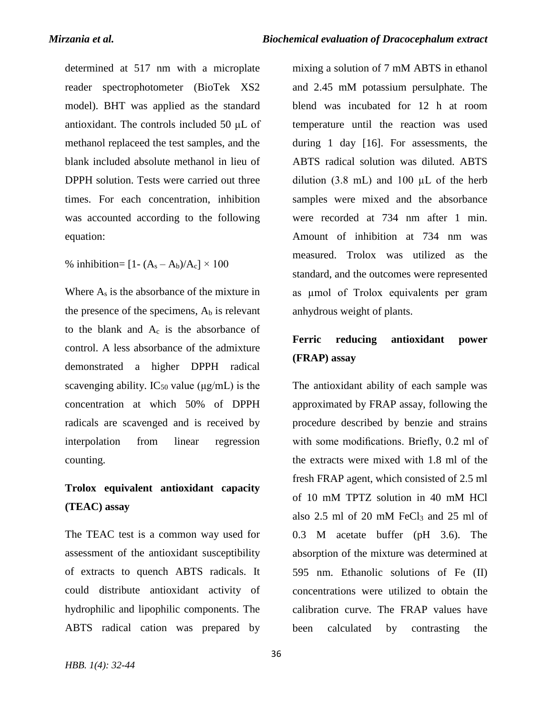determined at 517 nm with a microplate reader spectrophotometer (BioTek XS2 model). BHT was applied as the standard antioxidant. The controls included 50 μL of methanol replaceed the test samples, and the blank included absolute methanol in lieu of DPPH solution. Tests were carried out three times. For each concentration, inhibition was accounted according to the following equation:

% inhibition=  $[1-(A_s-A_b)/A_c] \times 100$ 

Where A<sup>s</sup> is the absorbance of the mixture in the presence of the specimens,  $A<sub>b</sub>$  is relevant to the blank and  $A_c$  is the absorbance of control. A less absorbance of the admixture demonstrated a higher DPPH radical scavenging ability. IC<sub>50</sub> value ( $\mu$ g/mL) is the concentration at which 50% of DPPH radicals are scavenged and is received by interpolation from linear regression counting.

## **Trolox equivalent antioxidant capacity (TEAC) assay**

The TEAC test is a common way used for assessment of the antioxidant susceptibility of extracts to quench ABTS radicals. It could distribute antioxidant activity of hydrophilic and lipophilic components. The ABTS radical cation was prepared by

mixing a solution of 7 mM ABTS in ethanol and 2.45 mM potassium persulphate. The blend was incubated for 12 h at room temperature until the reaction was used during 1 day [16]. For assessments, the ABTS radical solution was diluted. ABTS dilution  $(3.8 \text{ mL})$  and  $100 \mu L$  of the herb samples were mixed and the absorbance were recorded at 734 nm after 1 min. Amount of inhibition at 734 nm was measured. Trolox was utilized as the standard, and the outcomes were represented as µmol of Trolox equivalents per gram anhydrous weight of plants.

## **Ferric reducing antioxidant power (FRAP) assay**

The antioxidant ability of each sample was approximated by FRAP assay, following the procedure described by benzie and strains with some modifications. Briefly, 0.2 ml of the extracts were mixed with 1.8 ml of the fresh FRAP agent, which consisted of 2.5 ml of 10 mM TPTZ solution in 40 mM HCl also  $2.5$  ml of  $20$  mM FeCl<sub>3</sub> and  $25$  ml of 0.3 M acetate buffer (pH 3.6). The absorption of the mixture was determined at 595 nm. Ethanolic solutions of Fe (II) concentrations were utilized to obtain the calibration curve. The FRAP values have been calculated by contrasting the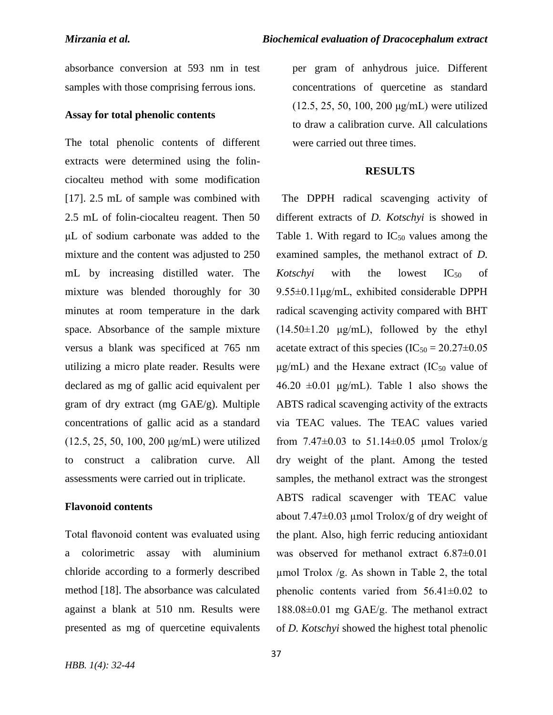absorbance conversion at 593 nm in test samples with those comprising ferrous ions.

## **Assay for total phenolic contents**

The total phenolic contents of different extracts were determined using the folinciocalteu method with some modification [17]. 2.5 mL of sample was combined with 2.5 mL of folin-ciocalteu reagent. Then 50 μL of sodium carbonate was added to the mixture and the content was adjusted to 250 mL by increasing distilled water. The mixture was blended thoroughly for 30 minutes at room temperature in the dark space. Absorbance of the sample mixture versus a blank was specificed at 765 nm utilizing a micro plate reader. Results were declared as mg of gallic acid equivalent per gram of dry extract (mg GAE/g). Multiple concentrations of gallic acid as a standard (12.5, 25, 50, 100, 200 μg/mL) were utilized to construct a calibration curve. All assessments were carried out in triplicate.

## **Flavonoid contents**

Total flavonoid content was evaluated using a colorimetric assay with aluminium chloride according to a formerly described method [18]. The absorbance was calculated against a blank at 510 nm. Results were presented as mg of quercetine equivalents

per gram of anhydrous juice. Different concentrations of quercetine as standard (12.5, 25, 50, 100, 200 μg/mL) were utilized to draw a calibration curve. All calculations were carried out three times.

## **RESULTS**

 The DPPH radical scavenging activity of different extracts of *D. Kotschyi* is showed in Table 1. With regard to  $IC_{50}$  values among the examined samples, the methanol extract of *D. Kotschyi* with the lowest  $IC_{50}$  of 9.55±0.11μg/mL, exhibited considerable DPPH radical scavenging activity compared with BHT  $(14.50\pm1.20 \mu g/mL)$ , followed by the ethyl acetate extract of this species  $(IC_{50} = 20.27 \pm 0.05)$  $\mu$ g/mL) and the Hexane extract (IC<sub>50</sub> value of  $46.20 \pm 0.01 \text{ \mu g/mL}$ . Table 1 also shows the ABTS radical scavenging activity of the extracts via TEAC values. The TEAC values varied from  $7.47\pm0.03$  to  $51.14\pm0.05$  µmol Trolox/g dry weight of the plant. Among the tested samples, the methanol extract was the strongest ABTS radical scavenger with TEAC value about  $7.47\pm0.03$  µmol Trolox/g of dry weight of the plant. Also, high ferric reducing antioxidant was observed for methanol extract 6.87±0.01 µmol Trolox /g. As shown in Table 2, the total phenolic contents varied from 56.41±0.02 to 188.08±0.01 mg GAE/g. The methanol extract of *D. Kotschyi* showed the highest total phenolic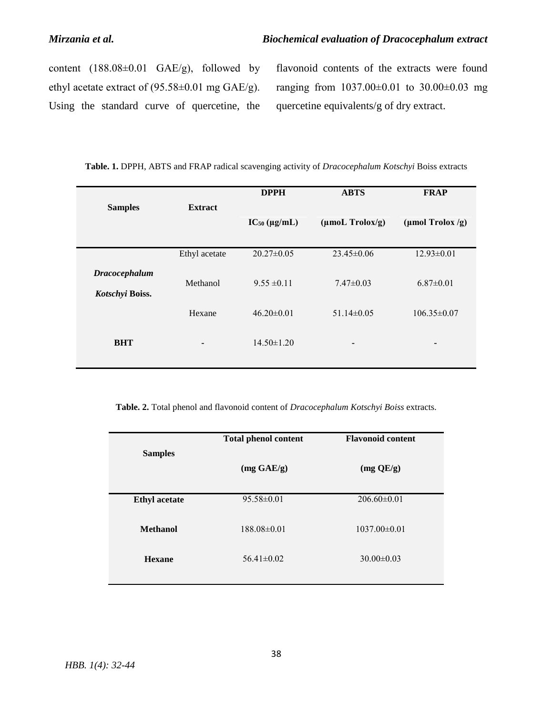content (188.08±0.01 GAE/g), followed by ethyl acetate extract of (95.58±0.01 mg GAE/g). Using the standard curve of quercetine, the flavonoid contents of the extracts were found ranging from 1037.00±0.01 to 30.00±0.03 mg quercetine equivalents/g of dry extract.

|  | Table. 1. DPPH, ABTS and FRAP radical scavenging activity of Dracocephalum Kotschyi Boiss extracts |  |  |
|--|----------------------------------------------------------------------------------------------------|--|--|
|  |                                                                                                    |  |  |

|                      |                | <b>DPPH</b>          | <b>ABTS</b>                 | <b>FRAP</b>       |
|----------------------|----------------|----------------------|-----------------------------|-------------------|
| <b>Samples</b>       | <b>Extract</b> |                      |                             |                   |
|                      |                | $IC_{50} (\mu g/mL)$ | $(\mu \text{mol}$ Trolox/g) | (µmol Trolox /g)  |
|                      |                |                      |                             |                   |
|                      | Ethyl acetate  | $20.27 \pm 0.05$     | $23.45 \pm 0.06$            | $12.93 \pm 0.01$  |
| <b>Dracocephalum</b> | Methanol       | $9.55 \pm 0.11$      | $7.47\pm0.03$               | $6.87 \pm 0.01$   |
| Kotschyi Boiss.      | Hexane         | $46.20\pm0.01$       | $51.14\pm0.05$              | $106.35 \pm 0.07$ |
| <b>BHT</b>           |                | $14.50 \pm 1.20$     | -                           |                   |
|                      |                |                      |                             |                   |

**Table. 2.** Total phenol and flavonoid content of *Dracocephalum Kotschyi Boiss* extracts.

|                      | <b>Total phenol content</b> | <b>Flavonoid content</b> |
|----------------------|-----------------------------|--------------------------|
| <b>Samples</b>       |                             |                          |
|                      | $(mg \text{ GAE/g})$        | $(mg$ QE/g)              |
|                      |                             |                          |
| <b>Ethyl</b> acetate | $95.58 \pm 0.01$            | $206.60 \pm 0.01$        |
|                      |                             |                          |
| <b>Methanol</b>      | $188.08 \pm 0.01$           | $1037.00 \pm 0.01$       |
|                      |                             |                          |
| <b>Hexane</b>        | $56.41 \pm 0.02$            | $30.00 \pm 0.03$         |
|                      |                             |                          |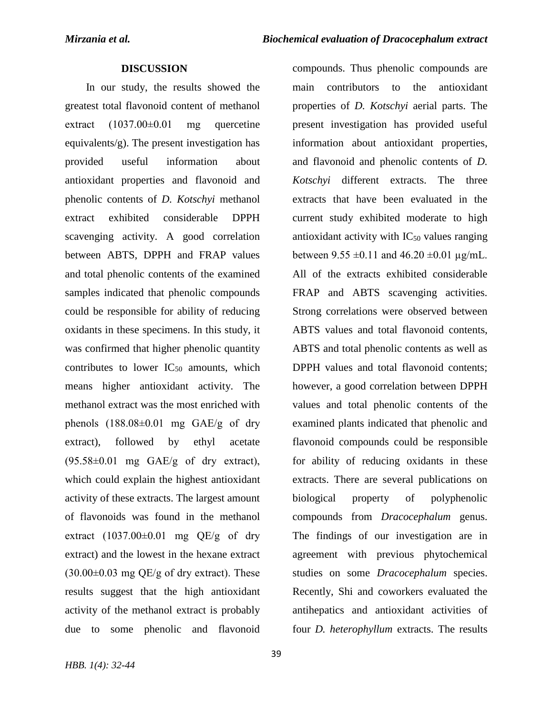compounds. Thus phenolic compounds are

### **DISCUSSION**

 In our study, the results showed the greatest total flavonoid content of methanol extract  $(1037.00\pm0.01$  mg quercetine equivalents/g). The present investigation has provided useful information about antioxidant properties and flavonoid and phenolic contents of *D. Kotschyi* methanol extract exhibited considerable DPPH scavenging activity. A good correlation between ABTS, DPPH and FRAP values and total phenolic contents of the examined samples indicated that phenolic compounds could be responsible for ability of reducing oxidants in these specimens. In this study, it was confirmed that higher phenolic quantity contributes to lower  $IC_{50}$  amounts, which means higher antioxidant activity. The methanol extract was the most enriched with phenols  $(188.08\pm0.01$  mg  $GAE/g$  of dry extract), followed by ethyl acetate  $(95.58\pm0.01$  mg GAE/g of dry extract), which could explain the highest antioxidant activity of these extracts. The largest amount of flavonoids was found in the methanol extract  $(1037.00\pm0.01$  mg QE/g of dry extract) and the lowest in the hexane extract  $(30.00\pm0.03 \text{ mg} \text{ QE/g of dry extract})$ . These results suggest that the high antioxidant activity of the methanol extract is probably due to some phenolic and flavonoid

main contributors to the antioxidant properties of *D. Kotschyi* aerial parts. The present investigation has provided useful information about antioxidant properties, and flavonoid and phenolic contents of *D. Kotschyi* different extracts. The three extracts that have been evaluated in the current study exhibited moderate to high antioxidant activity with  $IC_{50}$  values ranging between  $9.55 \pm 0.11$  and  $46.20 \pm 0.01$  µg/mL. All of the extracts exhibited considerable FRAP and ABTS scavenging activities. Strong correlations were observed between ABTS values and total flavonoid contents, ABTS and total phenolic contents as well as DPPH values and total flavonoid contents; however, a good correlation between DPPH values and total phenolic contents of the examined plants indicated that phenolic and flavonoid compounds could be responsible for ability of reducing oxidants in these extracts. There are several publications on biological property of polyphenolic compounds from *Dracocephalum* genus. The findings of our investigation are in agreement with previous phytochemical studies on some *Dracocephalum* species. Recently, Shi and coworkers evaluated the antihepatics and antioxidant activities of four *D. heterophyllum* extracts. The results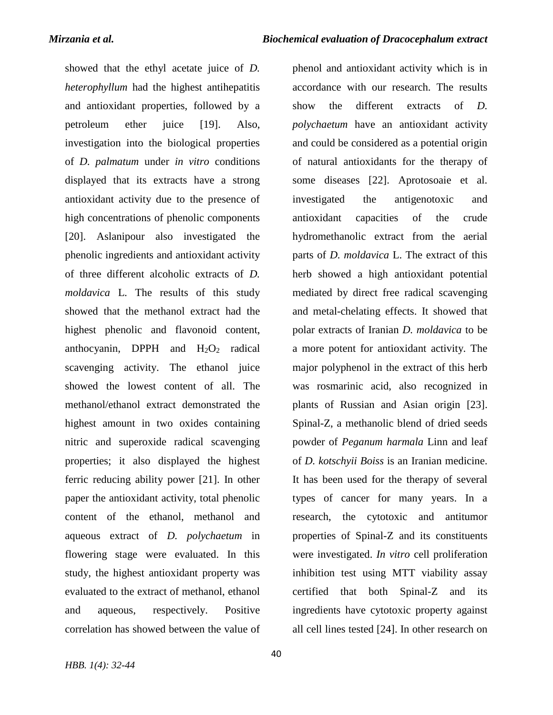phenol and antioxidant activity which is in

showed that the ethyl acetate juice of *D. heterophyllum* had the highest antihepatitis and antioxidant properties, followed by a petroleum ether juice [19]. Also, investigation into the biological properties of *D. palmatum* under *in vitro* conditions displayed that its extracts have a strong antioxidant activity due to the presence of high concentrations of phenolic components [20]. Aslanipour also investigated the phenolic ingredients and antioxidant activity of three different alcoholic extracts of *D. moldavica* L. The results of this study showed that the methanol extract had the highest phenolic and flavonoid content, anthocyanin, DPPH and  $H_2O_2$  radical scavenging activity. The ethanol juice showed the lowest content of all. The methanol/ethanol extract demonstrated the highest amount in two oxides containing nitric and superoxide radical scavenging properties; it also displayed the highest ferric reducing ability power [21]. In other paper the antioxidant activity, total phenolic content of the ethanol, methanol and aqueous extract of *D. polychaetum* in flowering stage were evaluated. In this study, the highest antioxidant property was evaluated to the extract of methanol, ethanol and aqueous, respectively. Positive correlation has showed between the value of

accordance with our research. The results show the different extracts of *D. polychaetum* have an antioxidant activity and could be considered as a potential origin of natural antioxidants for the therapy of some diseases [22]. Aprotosoaie et al. investigated the antigenotoxic and antioxidant capacities of the crude hydromethanolic extract from the aerial parts of *D. moldavica* L. The extract of this herb showed a high antioxidant potential mediated by direct free radical scavenging and metal-chelating effects. It showed that polar extracts of Iranian *D. moldavica* to be a more potent for antioxidant activity. The major polyphenol in the extract of this herb was rosmarinic acid, also recognized in plants of Russian and Asian origin [23]. Spinal-Z, a methanolic blend of dried seeds powder of *Peganum harmala* Linn and leaf of *D. kotschyii Boiss* is an Iranian medicine. It has been used for the therapy of several types of cancer for many years. In a research, the cytotoxic and antitumor properties of Spinal-Z and its constituents were investigated. *In vitro* cell proliferation inhibition test using MTT viability assay certified that both Spinal-Z and its ingredients have cytotoxic property against all cell lines tested [24]. In other research on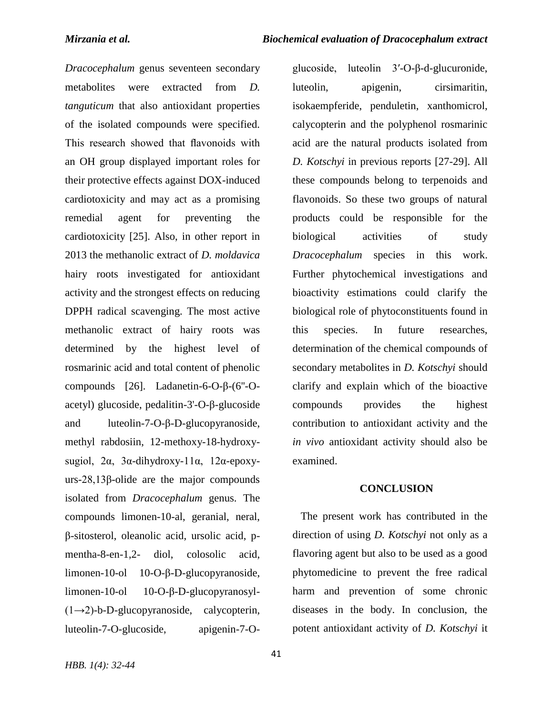glucoside, luteolin 3′-O-β-d-glucuronide,

*Dracocephalum* genus seventeen secondary metabolites were extracted from *D. tanguticum* that also antioxidant properties of the isolated compounds were specified. This research showed that flavonoids with an OH group displayed important roles for their protective effects against DOX-induced cardiotoxicity and may act as a promising remedial agent for preventing the cardiotoxicity [25]. Also, in other report in 2013 the methanolic extract of *D. moldavica* hairy roots investigated for antioxidant activity and the strongest effects on reducing DPPH radical scavenging. The most active methanolic extract of hairy roots was determined by the highest level of rosmarinic acid and total content of phenolic compounds [26]. Ladanetin-6-O-β-(6''-Oacetyl) glucoside, pedalitin-3'-O-β-glucoside and luteolin-7-O-β-D-glucopyranoside, methyl rabdosiin, 12-methoxy-18-hydroxysugiol,  $2α$ ,  $3α$ -dihydroxy-11α, 12α-epoxyurs-28,13β-olide are the major compounds isolated from *Dracocephalum* genus. The compounds limonen-10-al, geranial, neral, β-sitosterol, oleanolic acid, ursolic acid, pmentha-8-en-1,2- diol, colosolic acid, limonen-10-ol 10-O-β-D-glucopyranoside, limonen-10-ol 10-O-β-D-glucopyranosyl-  $(1\rightarrow 2)$ -b-D-glucopyranoside, calycopterin, luteolin-7-O-glucoside, apigenin-7-O-

*HBB. 1(4): 32-44*

luteolin, apigenin, cirsimaritin, isokaempferide, penduletin, xanthomicrol, calycopterin and the polyphenol rosmarinic acid are the natural products isolated from *D. Kotschyi* in previous reports [27-29]. All these compounds belong to terpenoids and flavonoids. So these two groups of natural products could be responsible for the biological activities of study *Dracocephalum* species in this work. Further phytochemical investigations and bioactivity estimations could clarify the biological role of phytoconstituents found in this species. In future researches, determination of the chemical compounds of secondary metabolites in *D. Kotschyi* should clarify and explain which of the bioactive compounds provides the highest contribution to antioxidant activity and the *in vivo* antioxidant activity should also be examined.

#### **CONCLUSION**

 The present work has contributed in the direction of using *D. Kotschyi* not only as a flavoring agent but also to be used as a good phytomedicine to prevent the free radical harm and prevention of some chronic diseases in the body. In conclusion, the potent antioxidant activity of *D. Kotschyi* it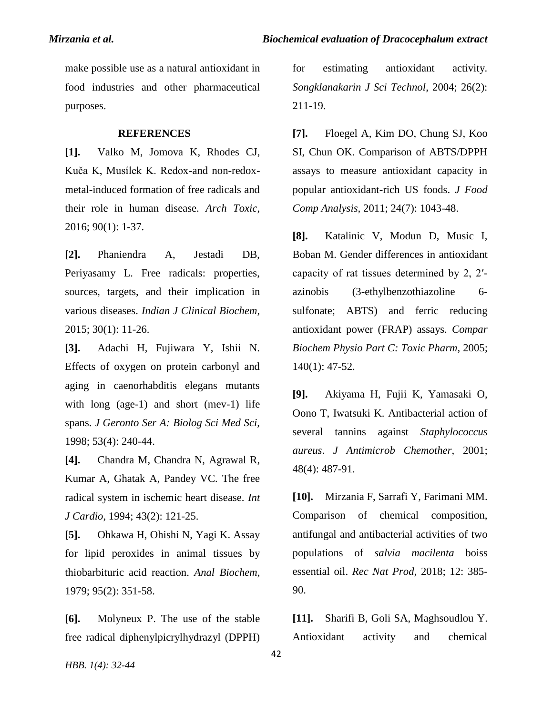make possible use as a natural antioxidant in food industries and other pharmaceutical purposes.

### **REFERENCES**

**[1].** Valko M, Jomova K, Rhodes CJ, Kuča K, Musílek K. Redox-and non-redoxmetal-induced formation of free radicals and their role in human disease. *Arch Toxic*, 2016; 90(1): 1-37.

**[2].** Phaniendra A, Jestadi DB, Periyasamy L. Free radicals: properties, sources, targets, and their implication in various diseases. *Indian J Clinical Biochem*, 2015; 30(1): 11-26.

**[3].** Adachi H, Fujiwara Y, Ishii N. Effects of oxygen on protein carbonyl and aging in caenorhabditis elegans mutants with long (age-1) and short (mev-1) life spans. *J Geronto Ser A: Biolog Sci Med Sci,* 1998; 53(4): 240-44.

**[4].** Chandra M, Chandra N, Agrawal R, Kumar A, Ghatak A, Pandey VC. The free radical system in ischemic heart disease. *Int J Cardio*, 1994; 43(2): 121-25.

**[5].** Ohkawa H, Ohishi N, Yagi K. Assay for lipid peroxides in animal tissues by thiobarbituric acid reaction. *Anal Biochem*, 1979; 95(2): 351-58.

**[6].** Molyneux P. The use of the stable free radical diphenylpicrylhydrazyl (DPPH) for estimating antioxidant activity. *Songklanakarin J Sci Technol*, 2004; 26(2): 211-19.

**[7].** Floegel A, Kim DO, Chung SJ, Koo SI, Chun OK. Comparison of ABTS/DPPH assays to measure antioxidant capacity in popular antioxidant-rich US foods. *J Food Comp Analysis,* 2011; 24(7): 1043-48.

**[8].** Katalinic V, Modun D, Music I, Boban M. Gender differences in antioxidant capacity of rat tissues determined by 2, 2′ azinobis (3-ethylbenzothiazoline 6 sulfonate; ABTS) and ferric reducing antioxidant power (FRAP) assays. *Compar Biochem Physio Part C: Toxic Pharm,* 2005; 140(1): 47-52.

**[9].** Akiyama H, Fujii K, Yamasaki O, Oono T, Iwatsuki K. Antibacterial action of several tannins against *Staphylococcus aureus*. *J Antimicrob Chemother*, 2001; 48(4): 487-91.

**[10].** Mirzania F, Sarrafi Y, Farimani MM. Comparison of chemical composition, antifungal and antibacterial activities of two populations of *salvia macilenta* boiss essential oil. *Rec Nat Prod*, 2018; 12: 385- 90.

**[11].** Sharifi B, Goli SA, Maghsoudlou Y. Antioxidant activity and chemical

*HBB. 1(4): 32-44*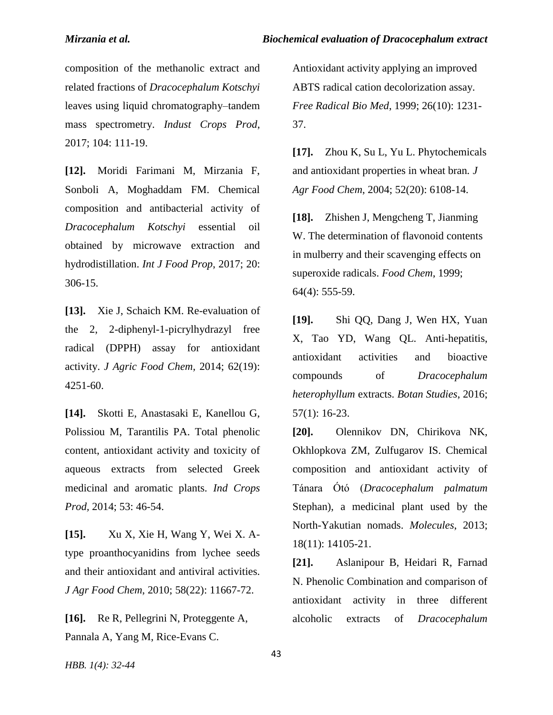composition of the methanolic extract and related fractions of *Dracocephalum Kotschyi* leaves using liquid chromatography–tandem mass spectrometry. *Indust Crops Prod*, 2017; 104: 111-19.

**[12].** Moridi Farimani M, Mirzania F, Sonboli A, Moghaddam FM. Chemical composition and antibacterial activity of *Dracocephalum Kotschyi* essential oil obtained by microwave extraction and hydrodistillation. *Int J Food Prop*, 2017; 20: 306-15.

**[13].** Xie J, Schaich KM. Re-evaluation of the 2, 2-diphenyl-1-picrylhydrazyl free radical (DPPH) assay for antioxidant activity. *J Agric Food Chem,* 2014; 62(19): 4251-60.

**[14].** Skotti E, Anastasaki E, Kanellou G, Polissiou M, Tarantilis PA. Total phenolic content, antioxidant activity and toxicity of aqueous extracts from selected Greek medicinal and aromatic plants. *Ind Crops Prod,* 2014; 53: 46-54.

**[15].** Xu X, Xie H, Wang Y, Wei X. Atype proanthocyanidins from lychee seeds and their antioxidant and antiviral activities. *J Agr Food Chem*, 2010; 58(22): 11667-72.

**[16].** Re R, Pellegrini N, Proteggente A, Pannala A, Yang M, Rice-Evans C.

Antioxidant activity applying an improved ABTS radical cation decolorization assay. *Free Radical Bio Med*, 1999; 26(10): 1231- 37.

**[17].** Zhou K, Su L, Yu L. Phytochemicals and antioxidant properties in wheat bran*. J Agr Food Chem*, 2004; 52(20): 6108-14.

**[18].** Zhishen J, Mengcheng T, Jianming W. The determination of flavonoid contents in mulberry and their scavenging effects on superoxide radicals. *Food Chem*, 1999; 64(4): 555-59.

**[19].** Shi QQ, Dang J, Wen HX, Yuan X, Tao YD, Wang QL. Anti-hepatitis, antioxidant activities and bioactive compounds of *Dracocephalum heterophyllum* extracts. *Botan Studies*, 2016; 57(1): 16-23.

**[20].** Olennikov DN, Chirikova NK, Okhlopkova ZM, Zulfugarov IS. Chemical composition and antioxidant activity of Tánara Ótó (*Dracocephalum palmatum* Stephan), a medicinal plant used by the North-Yakutian nomads. *Molecules*, 2013; 18(11): 14105-21.

**[21].** Aslanipour B, Heidari R, Farnad N. Phenolic Combination and comparison of antioxidant activity in three different alcoholic extracts of *Dracocephalum* 

*HBB. 1(4): 32-44*